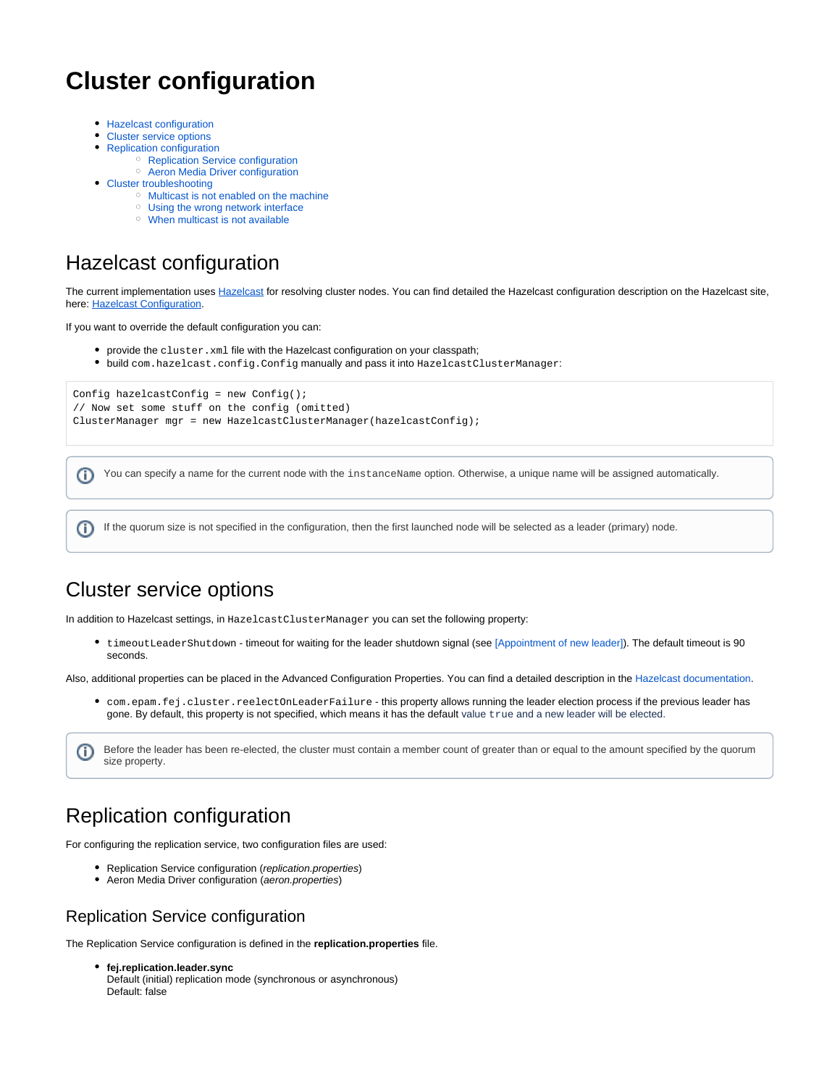# **Cluster configuration**

- **[Hazelcast configuration](#page-0-0)**
- [Cluster service options](#page-0-1)
- [Replication configuration](#page-0-2)
	- <sup>o</sup> [Replication Service configuration](#page-0-3)
	- [Aeron Media Driver configuration](#page-1-0)
- [Cluster troubleshooting](#page-1-1)
	- <sup>o</sup> [Multicast is not enabled on the machine](#page-1-2)
	- [Using the wrong network interface](#page-1-3)
	- [When multicast is not available](#page-1-4)

### <span id="page-0-0"></span>Hazelcast configuration

The current implementation uses [Hazelcast](http://hazelcast.com/) for resolving cluster nodes. You can find detailed the Hazelcast configuration description on the Hazelcast site, here: [Hazelcast Configuration.](http://docs.hazelcast.org/docs/3.5/manual/html/hazelcastconfiguration.html)

If you want to override the default configuration you can:

- provide the cluster.xml file with the Hazelcast configuration on your classpath;
- build com.hazelcast.config.Config manually and pass it into HazelcastClusterManager:

```
Config hazelcastConfig = new Config();
// Now set some stuff on the config (omitted)
ClusterManager mgr = new HazelcastClusterManager(hazelcastConfig);
```
You can specify a name for the current node with the instanceName option. Otherwise, a unique name will be assigned automatically. ന

If the quorum size is not specified in the configuration, then the first launched node will be selected as a leader (primary) node. O)

# <span id="page-0-1"></span>Cluster service options

In addition to Hazelcast settings, in HazelcastClusterManager you can set the following property:

timeoutLeaderShutdown - timeout for waiting for the leader shutdown signal (see [\[Appointment of new leader\]](https://kb.b2bits.com/display/B2BITS/Cluster+manager+API#ClustermanagerAPI-Appointmentofanewleader)). The default timeout is 90 seconds.

Also, additional properties can be placed in the Advanced Configuration Properties. You can find a detailed description in the [Hazelcast documentation](https://docs.hazelcast.org/docs/3.0/manual/html/ch12s06.html).

com.epam.fej.cluster.reelectOnLeaderFailure - this property allows running the leader election process if the previous leader has gone. By default, this property is not specified, which means it has the default value true and a new leader will be elected.

Before the leader has been re-elected, the cluster must contain a member count of greater than or equal to the amount specified by the quorum (i) size property.

# <span id="page-0-2"></span>Replication configuration

For configuring the replication service, two configuration files are used:

- Replication Service configuration (replication.properties)
- Aeron Media Driver configuration (aeron.properties)

#### <span id="page-0-3"></span>Replication Service configuration

The Replication Service configuration is defined in the **replication.properties** file.

**fej.replication.leader.sync** Default (initial) replication mode (synchronous or asynchronous) Default: false